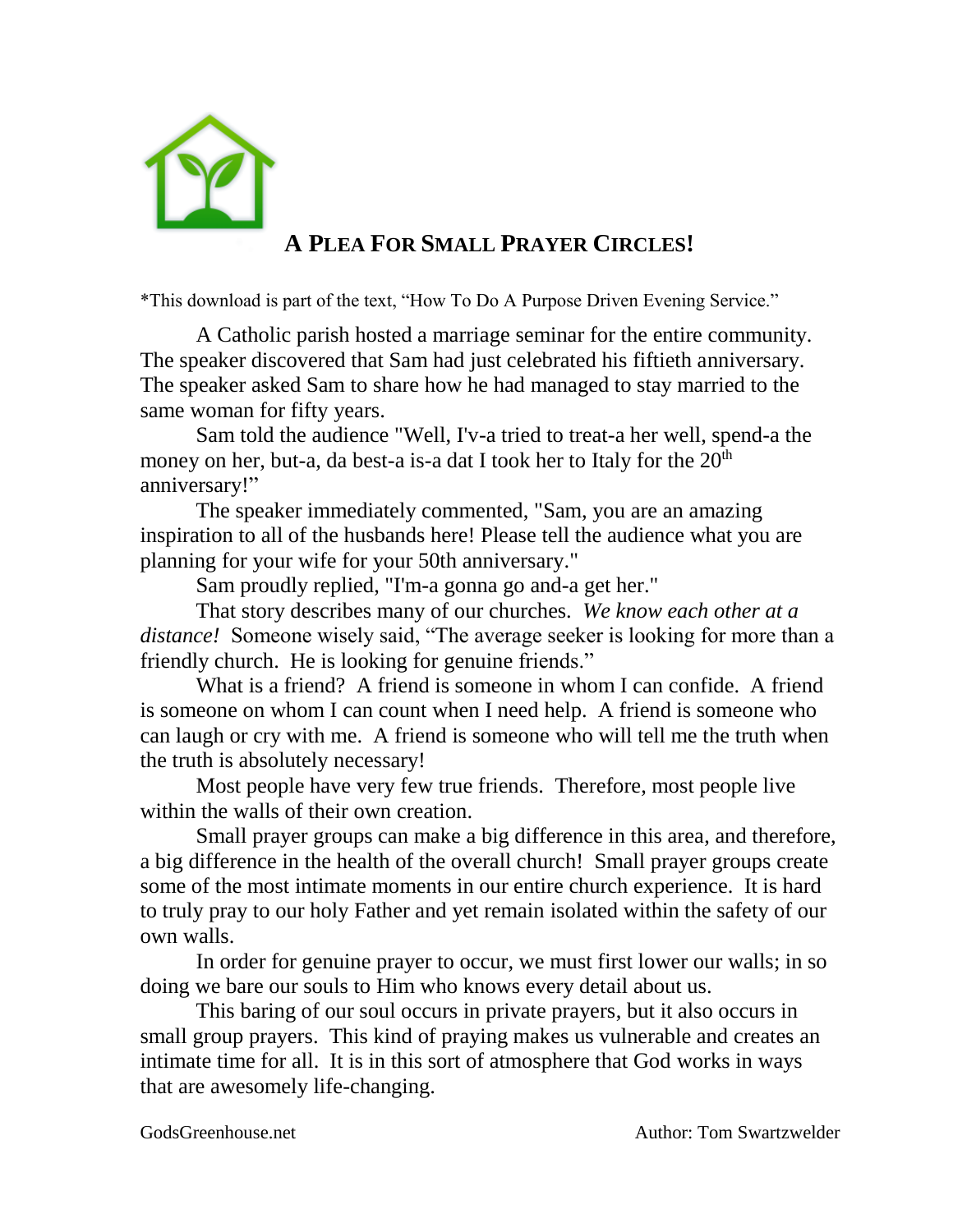

## **A PLEA FOR SMALL PRAYER CIRCLES!**

\*This download is part of the text, "How To Do A Purpose Driven Evening Service."

A Catholic parish hosted a marriage seminar for the entire community. The speaker discovered that Sam had just celebrated his fiftieth anniversary. The speaker asked Sam to share how he had managed to stay married to the same woman for fifty years.

Sam told the audience "Well, I'v-a tried to treat-a her well, spend-a the money on her, but-a, da best-a is-a dat I took her to Italy for the 20<sup>th</sup> anniversary!"

The speaker immediately commented, "Sam, you are an amazing inspiration to all of the husbands here! Please tell the audience what you are planning for your wife for your 50th anniversary."

Sam proudly replied, "I'm-a gonna go and-a get her."

That story describes many of our churches. *We know each other at a distance!* Someone wisely said, "The average seeker is looking for more than a friendly church. He is looking for genuine friends."

What is a friend? A friend is someone in whom I can confide. A friend is someone on whom I can count when I need help. A friend is someone who can laugh or cry with me. A friend is someone who will tell me the truth when the truth is absolutely necessary!

Most people have very few true friends. Therefore, most people live within the walls of their own creation.

Small prayer groups can make a big difference in this area, and therefore, a big difference in the health of the overall church! Small prayer groups create some of the most intimate moments in our entire church experience. It is hard to truly pray to our holy Father and yet remain isolated within the safety of our own walls.

In order for genuine prayer to occur, we must first lower our walls; in so doing we bare our souls to Him who knows every detail about us.

This baring of our soul occurs in private prayers, but it also occurs in small group prayers. This kind of praying makes us vulnerable and creates an intimate time for all. It is in this sort of atmosphere that God works in ways that are awesomely life-changing.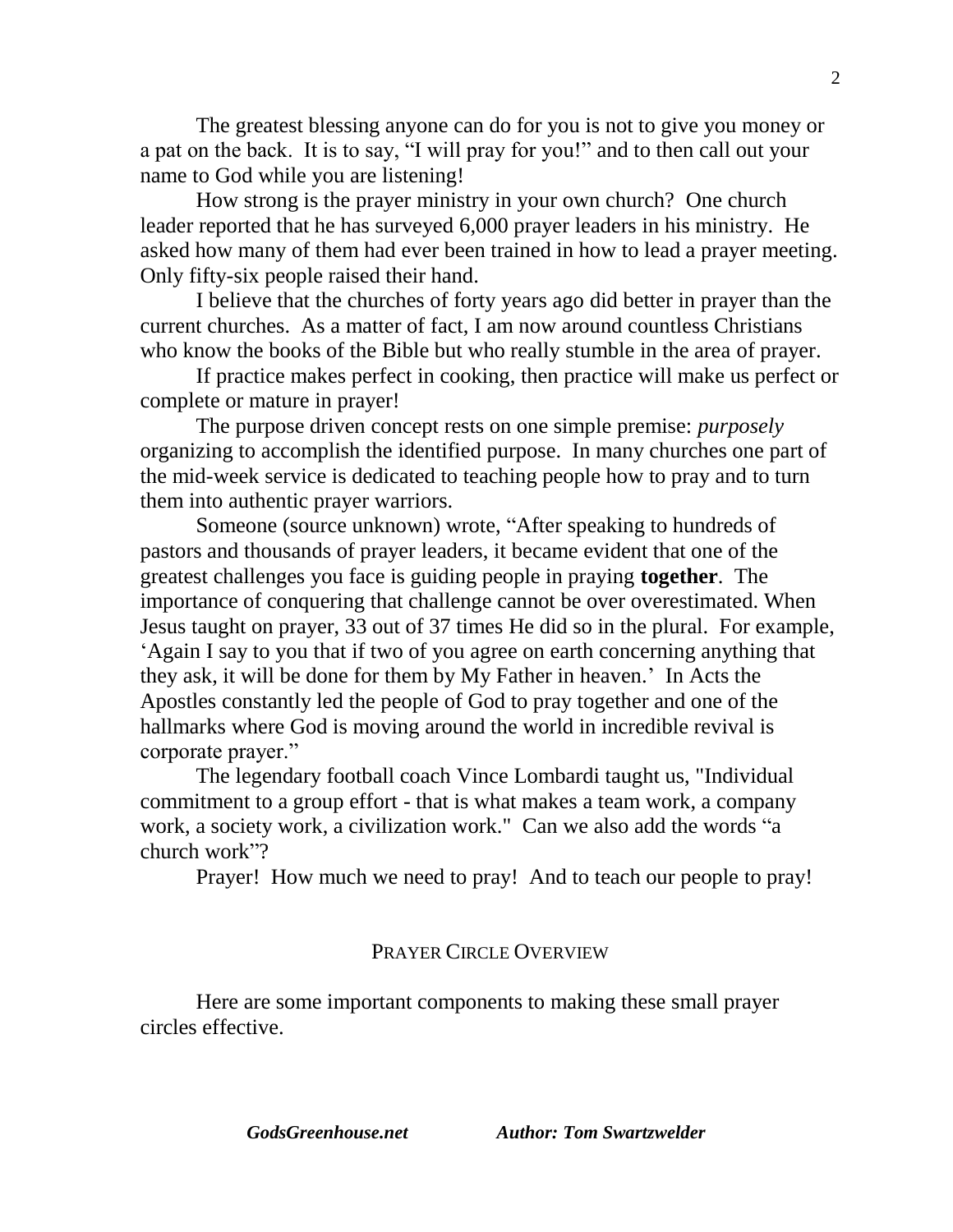The greatest blessing anyone can do for you is not to give you money or a pat on the back. It is to say, "I will pray for you!" and to then call out your name to God while you are listening!

How strong is the prayer ministry in your own church? One church leader reported that he has surveyed 6,000 prayer leaders in his ministry. He asked how many of them had ever been trained in how to lead a prayer meeting. Only fifty-six people raised their hand.

I believe that the churches of forty years ago did better in prayer than the current churches. As a matter of fact, I am now around countless Christians who know the books of the Bible but who really stumble in the area of prayer.

If practice makes perfect in cooking, then practice will make us perfect or complete or mature in prayer!

The purpose driven concept rests on one simple premise: *purposely* organizing to accomplish the identified purpose. In many churches one part of the mid-week service is dedicated to teaching people how to pray and to turn them into authentic prayer warriors.

Someone (source unknown) wrote, "After speaking to hundreds of pastors and thousands of prayer leaders, it became evident that one of the greatest challenges you face is guiding people in praying **together**. The importance of conquering that challenge cannot be over overestimated. When Jesus taught on prayer, 33 out of 37 times He did so in the plural. For example, 'Again I say to you that if two of you agree on earth concerning anything that they ask, it will be done for them by My Father in heaven.' In Acts the Apostles constantly led the people of God to pray together and one of the hallmarks where God is moving around the world in incredible revival is corporate prayer."

The legendary football coach Vince Lombardi taught us, "Individual commitment to a group effort - that is what makes a team work, a company work, a society work, a civilization work." Can we also add the words "a church work"?

Prayer! How much we need to pray! And to teach our people to pray!

## PRAYER CIRCLE OVERVIEW

Here are some important components to making these small prayer circles effective.

*GodsGreenhouse.net Author: Tom Swartzwelder*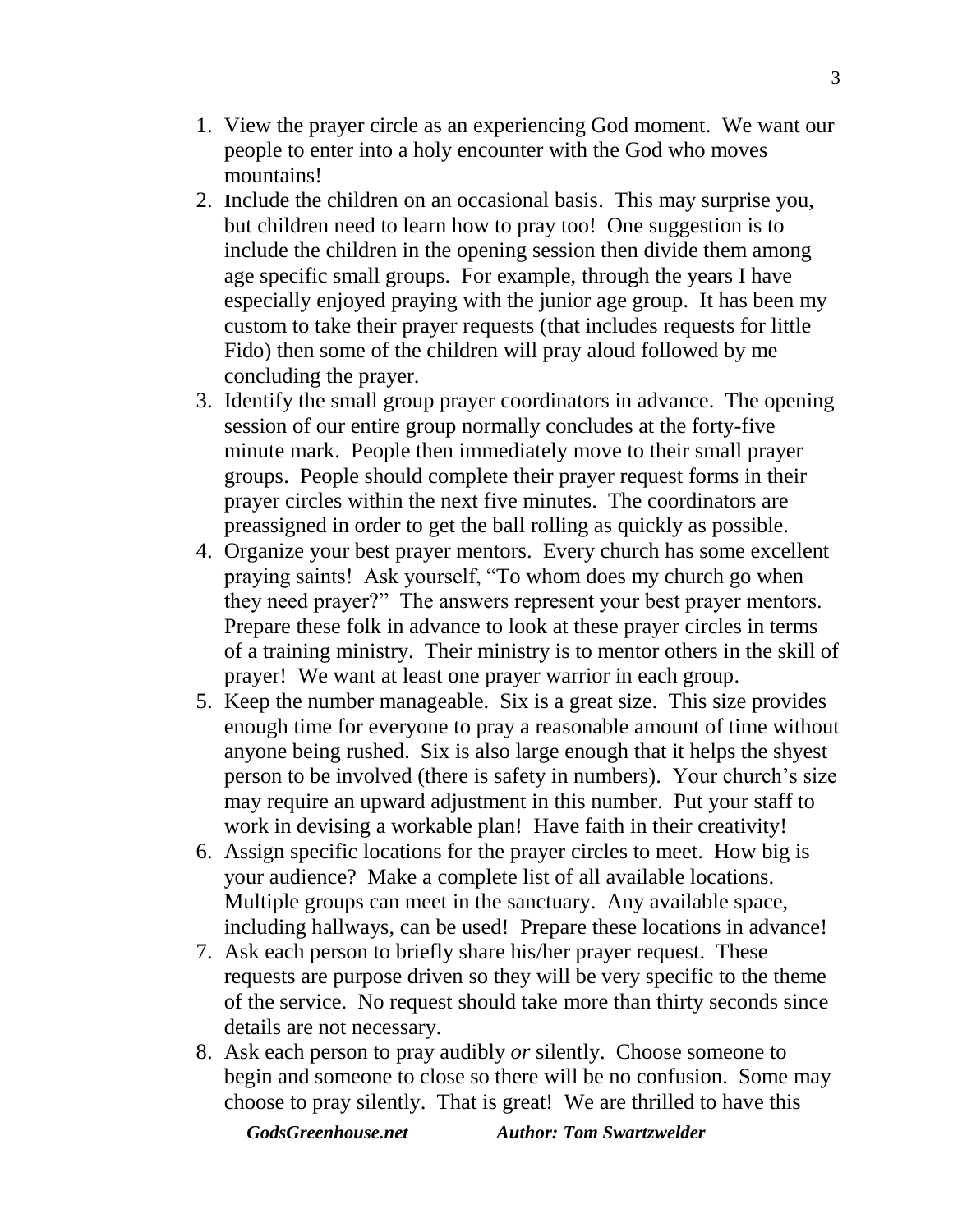- 1. View the prayer circle as an experiencing God moment. We want our people to enter into a holy encounter with the God who moves mountains!
- 2. **I**nclude the children on an occasional basis. This may surprise you, but children need to learn how to pray too! One suggestion is to include the children in the opening session then divide them among age specific small groups. For example, through the years I have especially enjoyed praying with the junior age group. It has been my custom to take their prayer requests (that includes requests for little Fido) then some of the children will pray aloud followed by me concluding the prayer.
- 3. Identify the small group prayer coordinators in advance. The opening session of our entire group normally concludes at the forty-five minute mark. People then immediately move to their small prayer groups. People should complete their prayer request forms in their prayer circles within the next five minutes. The coordinators are preassigned in order to get the ball rolling as quickly as possible.
- 4. Organize your best prayer mentors. Every church has some excellent praying saints! Ask yourself, "To whom does my church go when they need prayer?" The answers represent your best prayer mentors. Prepare these folk in advance to look at these prayer circles in terms of a training ministry. Their ministry is to mentor others in the skill of prayer! We want at least one prayer warrior in each group.
- 5. Keep the number manageable. Six is a great size. This size provides enough time for everyone to pray a reasonable amount of time without anyone being rushed. Six is also large enough that it helps the shyest person to be involved (there is safety in numbers). Your church's size may require an upward adjustment in this number. Put your staff to work in devising a workable plan! Have faith in their creativity!
- 6. Assign specific locations for the prayer circles to meet. How big is your audience? Make a complete list of all available locations. Multiple groups can meet in the sanctuary. Any available space, including hallways, can be used! Prepare these locations in advance!
- 7. Ask each person to briefly share his/her prayer request. These requests are purpose driven so they will be very specific to the theme of the service. No request should take more than thirty seconds since details are not necessary.
- 8. Ask each person to pray audibly *or* silently. Choose someone to begin and someone to close so there will be no confusion. Some may choose to pray silently. That is great! We are thrilled to have this

*GodsGreenhouse.net Author: Tom Swartzwelder*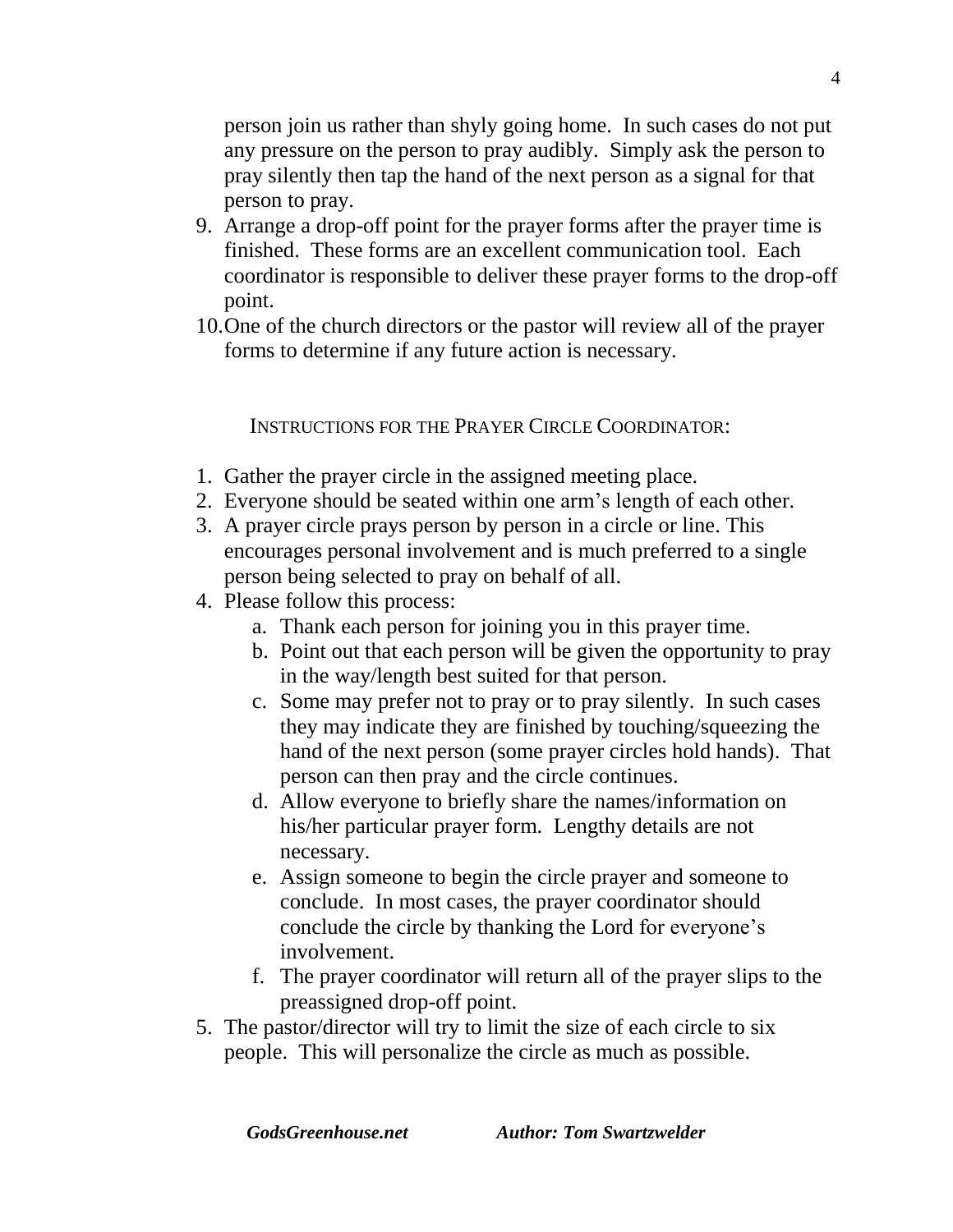person join us rather than shyly going home. In such cases do not put any pressure on the person to pray audibly. Simply ask the person to pray silently then tap the hand of the next person as a signal for that person to pray.

- 9. Arrange a drop-off point for the prayer forms after the prayer time is finished. These forms are an excellent communication tool. Each coordinator is responsible to deliver these prayer forms to the drop-off point.
- 10.One of the church directors or the pastor will review all of the prayer forms to determine if any future action is necessary.

INSTRUCTIONS FOR THE PRAYER CIRCLE COORDINATOR:

- 1. Gather the prayer circle in the assigned meeting place.
- 2. Everyone should be seated within one arm's length of each other.
- 3. A prayer circle prays person by person in a circle or line. This encourages personal involvement and is much preferred to a single person being selected to pray on behalf of all.
- 4. Please follow this process:
	- a. Thank each person for joining you in this prayer time.
	- b. Point out that each person will be given the opportunity to pray in the way/length best suited for that person.
	- c. Some may prefer not to pray or to pray silently. In such cases they may indicate they are finished by touching/squeezing the hand of the next person (some prayer circles hold hands). That person can then pray and the circle continues.
	- d. Allow everyone to briefly share the names/information on his/her particular prayer form. Lengthy details are not necessary.
	- e. Assign someone to begin the circle prayer and someone to conclude. In most cases, the prayer coordinator should conclude the circle by thanking the Lord for everyone's involvement.
	- f. The prayer coordinator will return all of the prayer slips to the preassigned drop-off point.
- 5. The pastor/director will try to limit the size of each circle to six people. This will personalize the circle as much as possible.